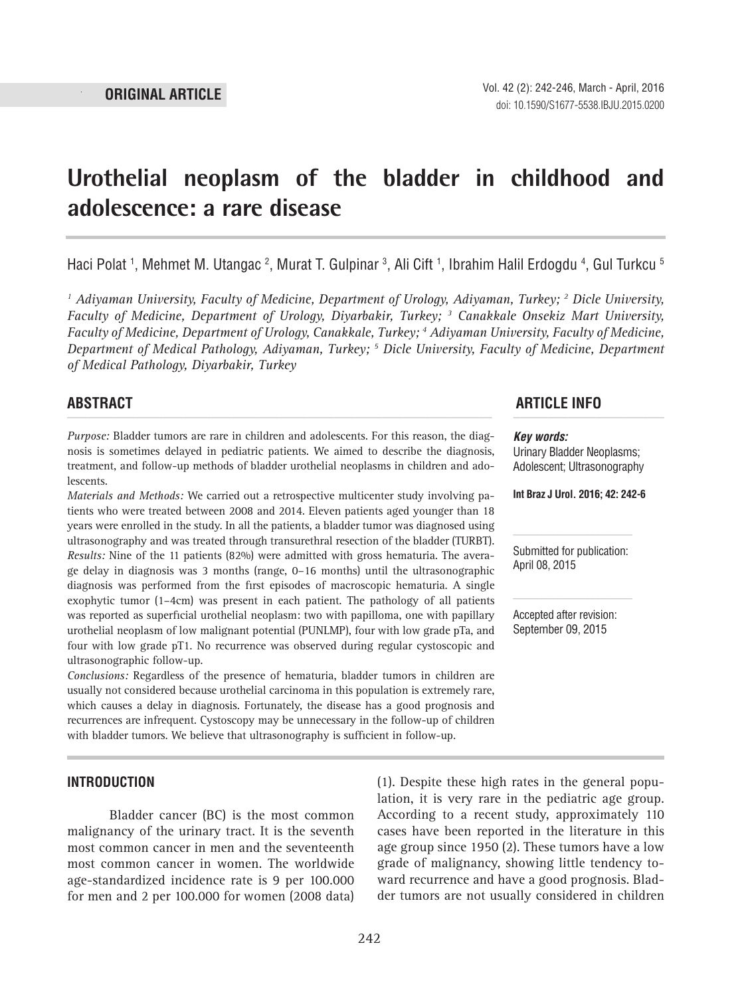# **Urothelial neoplasm of the bladder in childhood and adolescence: a rare disease \_\_\_\_\_\_\_\_\_\_\_\_\_\_\_\_\_\_\_\_\_\_\_\_\_\_\_\_\_\_\_\_\_\_\_\_\_\_\_\_\_\_\_\_\_\_\_**

Haci Polat <sup>1</sup>, Mehmet M. Utangac <sup>2</sup>, Murat T. Gulpinar <sup>3</sup>, Ali Cift <sup>1</sup>, Ibrahim Halil Erdogdu <sup>4</sup>, Gul Turkcu <sup>5</sup>

<sup>1</sup> Adiyaman University, Faculty of Medicine, Department of Urology, Adiyaman, Turkey; <sup>2</sup> Dicle University, *Faculty of Medicine, Department of Urology, Diyarbakir, Turkey; 3 Canakkale Onsekiz Mart University, Faculty of Medicine, Department of Urology, Canakkale, Turkey; 4 Adiyaman University, Faculty of Medicine, Department of Medical Pathology, Adiyaman, Turkey; 5 Dicle University, Faculty of Medicine, Department of Medical Pathology, Diyarbakir, Turkey*

*Purpose:* Bladder tumors are rare in children and adolescents. For this reason, the diagnosis is sometimes delayed in pediatric patients. We aimed to describe the diagnosis, treatment, and follow-up methods of bladder urothelial neoplasms in children and adolescents.

*Materials and Methods:* We carried out a retrospective multicenter study involving patients who were treated between 2008 and 2014. Eleven patients aged younger than 18 years were enrolled in the study. In all the patients, a bladder tumor was diagnosed using ultrasonography and was treated through transurethral resection of the bladder (TURBT). *Results:* Nine of the 11 patients (82%) were admitted with gross hematuria. The average delay in diagnosis was 3 months (range, 0–16 months) until the ultrasonographic diagnosis was performed from the first episodes of macroscopic hematuria. A single exophytic tumor (1–4cm) was present in each patient. The pathology of all patients was reported as superficial urothelial neoplasm: two with papilloma, one with papillary urothelial neoplasm of low malignant potential (PUNLMP), four with low grade pTa, and four with low grade pT1. No recurrence was observed during regular cystoscopic and ultrasonographic follow-up.

*Conclusions:* Regardless of the presence of hematuria, bladder tumors in children are usually not considered because urothelial carcinoma in this population is extremely rare, which causes a delay in diagnosis. Fortunately, the disease has a good prognosis and recurrences are infrequent. Cystoscopy may be unnecessary in the follow-up of children with bladder tumors. We believe that ultrasonography is sufficient in follow-up.

# **ABSTRACT ARTICLE INFO** *\_\_\_\_\_\_\_\_\_\_\_\_\_\_\_\_\_\_\_\_\_\_\_\_\_\_\_\_\_\_\_\_\_\_\_\_\_\_\_\_\_\_\_\_\_\_\_\_\_\_\_\_\_\_\_\_\_\_\_\_\_\_ \_\_\_\_\_\_\_\_\_\_\_\_\_\_\_\_\_\_\_\_\_\_*

#### *Key words:*

Urinary Bladder Neoplasms; Adolescent; Ultrasonography

**Int Braz J Urol. 2016; 42: 242-6**

Submitted for publication: April 08, 2015

Accepted after revision: September 09, 2015

### **INTRODUCTION**

Bladder cancer (BC) is the most common malignancy of the urinary tract. It is the seventh most common cancer in men and the seventeenth most common cancer in women. The worldwide age-standardized incidence rate is 9 per 100.000 for men and 2 per 100.000 for women (2008 data) (1). Despite these high rates in the general population, it is very rare in the pediatric age group. According to a recent study, approximately 110 cases have been reported in the literature in this age group since 1950 (2). These tumors have a low grade of malignancy, showing little tendency toward recurrence and have a good prognosis. Bladder tumors are not usually considered in children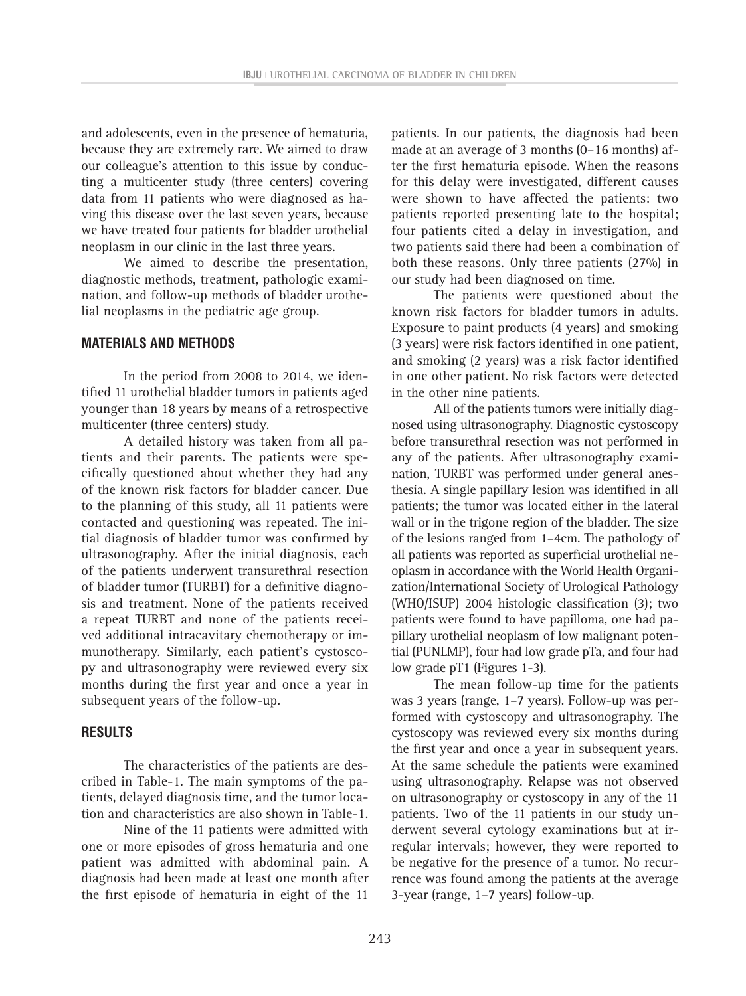and adolescents, even in the presence of hematuria, because they are extremely rare. We aimed to draw our colleague's attention to this issue by conducting a multicenter study (three centers) covering data from 11 patients who were diagnosed as having this disease over the last seven years, because we have treated four patients for bladder urothelial neoplasm in our clinic in the last three years.

We aimed to describe the presentation, diagnostic methods, treatment, pathologic examination, and follow-up methods of bladder urothelial neoplasms in the pediatric age group.

# **MATERIALS AND METHODS**

In the period from 2008 to 2014, we identified 11 urothelial bladder tumors in patients aged younger than 18 years by means of a retrospective multicenter (three centers) study.

A detailed history was taken from all patients and their parents. The patients were specifically questioned about whether they had any of the known risk factors for bladder cancer. Due to the planning of this study, all 11 patients were contacted and questioning was repeated. The initial diagnosis of bladder tumor was confirmed by ultrasonography. After the initial diagnosis, each of the patients underwent transurethral resection of bladder tumor (TURBT) for a definitive diagnosis and treatment. None of the patients received a repeat TURBT and none of the patients received additional intracavitary chemotherapy or immunotherapy. Similarly, each patient's cystoscopy and ultrasonography were reviewed every six months during the first year and once a year in subsequent years of the follow-up.

# **RESULTS**

The characteristics of the patients are described in Table-1. The main symptoms of the patients, delayed diagnosis time, and the tumor location and characteristics are also shown in Table-1.

Nine of the 11 patients were admitted with one or more episodes of gross hematuria and one patient was admitted with abdominal pain. A diagnosis had been made at least one month after the first episode of hematuria in eight of the 11

patients. In our patients, the diagnosis had been made at an average of 3 months (0–16 months) after the first hematuria episode. When the reasons for this delay were investigated, different causes were shown to have affected the patients: two patients reported presenting late to the hospital; four patients cited a delay in investigation, and two patients said there had been a combination of both these reasons. Only three patients (27%) in our study had been diagnosed on time.

The patients were questioned about the known risk factors for bladder tumors in adults. Exposure to paint products (4 years) and smoking (3 years) were risk factors identified in one patient, and smoking (2 years) was a risk factor identified in one other patient. No risk factors were detected in the other nine patients.

All of the patients tumors were initially diagnosed using ultrasonography. Diagnostic cystoscopy before transurethral resection was not performed in any of the patients. After ultrasonography examination, TURBT was performed under general anesthesia. A single papillary lesion was identified in all patients; the tumor was located either in the lateral wall or in the trigone region of the bladder. The size of the lesions ranged from 1–4cm. The pathology of all patients was reported as superficial urothelial neoplasm in accordance with the World Health Organization/International Society of Urological Pathology (WHO/ISUP) 2004 histologic classification (3); two patients were found to have papilloma, one had papillary urothelial neoplasm of low malignant potential (PUNLMP), four had low grade pTa, and four had low grade pT1 (Figures 1-3).

The mean follow-up time for the patients was 3 years (range, 1–7 years). Follow-up was performed with cystoscopy and ultrasonography. The cystoscopy was reviewed every six months during the first year and once a year in subsequent years. At the same schedule the patients were examined using ultrasonography. Relapse was not observed on ultrasonography or cystoscopy in any of the 11 patients. Two of the 11 patients in our study underwent several cytology examinations but at irregular intervals; however, they were reported to be negative for the presence of a tumor. No recurrence was found among the patients at the average 3-year (range, 1–7 years) follow-up.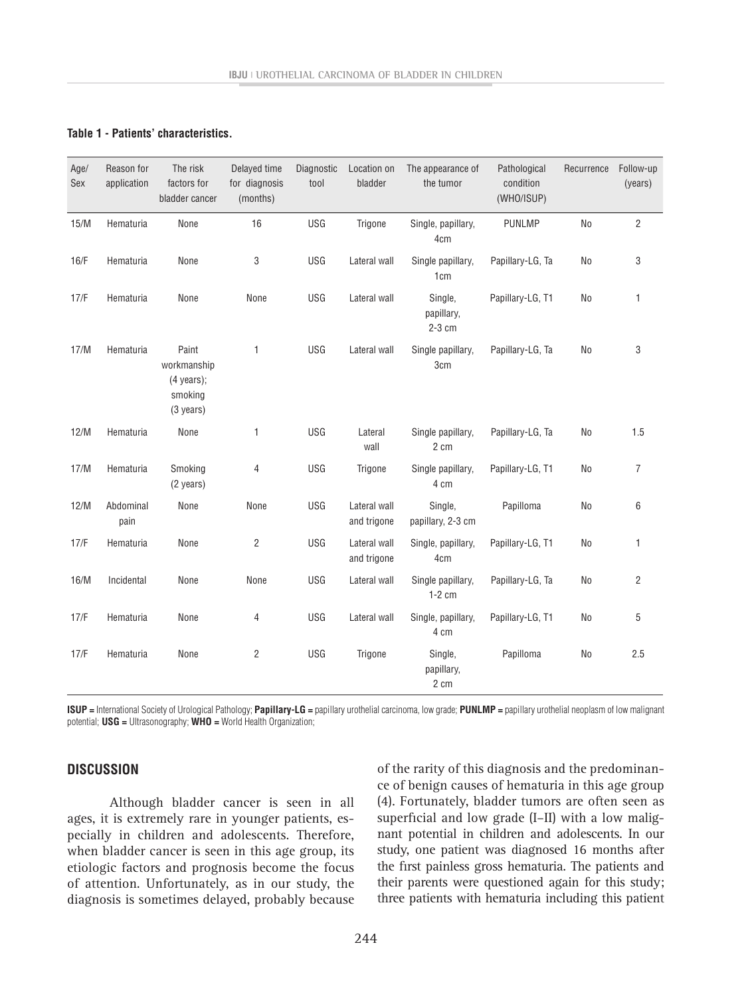#### **Table 1 - Patients' characteristics.**

| Age/<br>Sex | Reason for<br>application | The risk<br>factors for<br>bladder cancer                                       | Delayed time<br>for diagnosis<br>(months) | Diagnostic<br>tool | Location on<br>bladder      | The appearance of<br>the tumor       | Pathological<br>condition<br>(WHO/ISUP) | Recurrence | Follow-up<br>(years) |
|-------------|---------------------------|---------------------------------------------------------------------------------|-------------------------------------------|--------------------|-----------------------------|--------------------------------------|-----------------------------------------|------------|----------------------|
| 15/M        | Hematuria                 | None                                                                            | 16                                        | <b>USG</b>         | Trigone                     | Single, papillary,<br>4cm            | <b>PUNLMP</b>                           | No         | $\overline{2}$       |
| 16/F        | Hematuria                 | None                                                                            | 3                                         | <b>USG</b>         | Lateral wall                | Single papillary,<br>1 <sub>cm</sub> | Papillary-LG, Ta                        | No         | 3                    |
| 17/F        | Hematuria                 | None                                                                            | None                                      | <b>USG</b>         | Lateral wall                | Single,<br>papillary,<br>2-3 cm      | Papillary-LG, T1                        | <b>No</b>  | 1                    |
| 17/M        | Hematuria                 | Paint<br>workmanship<br>$(4 \text{ years})$ ;<br>smoking<br>$(3 \text{ years})$ | $\mathbf{1}$                              | <b>USG</b>         | Lateral wall                | Single papillary,<br>3cm             | Papillary-LG, Ta                        | No         | 3                    |
| 12/M        | Hematuria                 | None                                                                            | 1                                         | USG                | Lateral<br>wall             | Single papillary,<br>2 cm            | Papillary-LG, Ta                        | No         | 1.5                  |
| 17/M        | Hematuria                 | Smoking<br>$(2 \text{ years})$                                                  | 4                                         | USG                | Trigone                     | Single papillary,<br>4 cm            | Papillary-LG, T1                        | No         | $\overline{7}$       |
| 12/M        | Abdominal<br>pain         | None                                                                            | None                                      | <b>USG</b>         | Lateral wall<br>and trigone | Single,<br>papillary, 2-3 cm         | Papilloma                               | No         | 6                    |
| 17/F        | Hematuria                 | None                                                                            | 2                                         | <b>USG</b>         | Lateral wall<br>and trigone | Single, papillary,<br>4cm            | Papillary-LG, T1                        | No         | 1                    |
| 16/M        | Incidental                | None                                                                            | None                                      | <b>USG</b>         | Lateral wall                | Single papillary,<br>$1-2$ cm        | Papillary-LG, Ta                        | No         | $\overline{2}$       |
| 17/F        | Hematuria                 | None                                                                            | 4                                         | USG                | Lateral wall                | Single, papillary,<br>4 cm           | Papillary-LG, T1                        | No         | 5                    |
| 17/F        | Hematuria                 | None                                                                            | 2                                         | USG                | Trigone                     | Single,<br>papillary,<br>2 cm        | Papilloma                               | No         | 2.5                  |

**ISUP =** International Society of Urological Pathology; **Papillary-LG =** papillary urothelial carcinoma, low grade; **PUNLMP =** papillary urothelial neoplasm of low malignant potential; **USG =** Ultrasonography; **WHO =** World Health Organization;

## **DISCUSSION**

Although bladder cancer is seen in all ages, it is extremely rare in younger patients, especially in children and adolescents. Therefore, when bladder cancer is seen in this age group, its etiologic factors and prognosis become the focus of attention. Unfortunately, as in our study, the diagnosis is sometimes delayed, probably because of the rarity of this diagnosis and the predominance of benign causes of hematuria in this age group (4). Fortunately, bladder tumors are often seen as superficial and low grade (I–II) with a low malignant potential in children and adolescents. In our study, one patient was diagnosed 16 months after the first painless gross hematuria. The patients and their parents were questioned again for this study; three patients with hematuria including this patient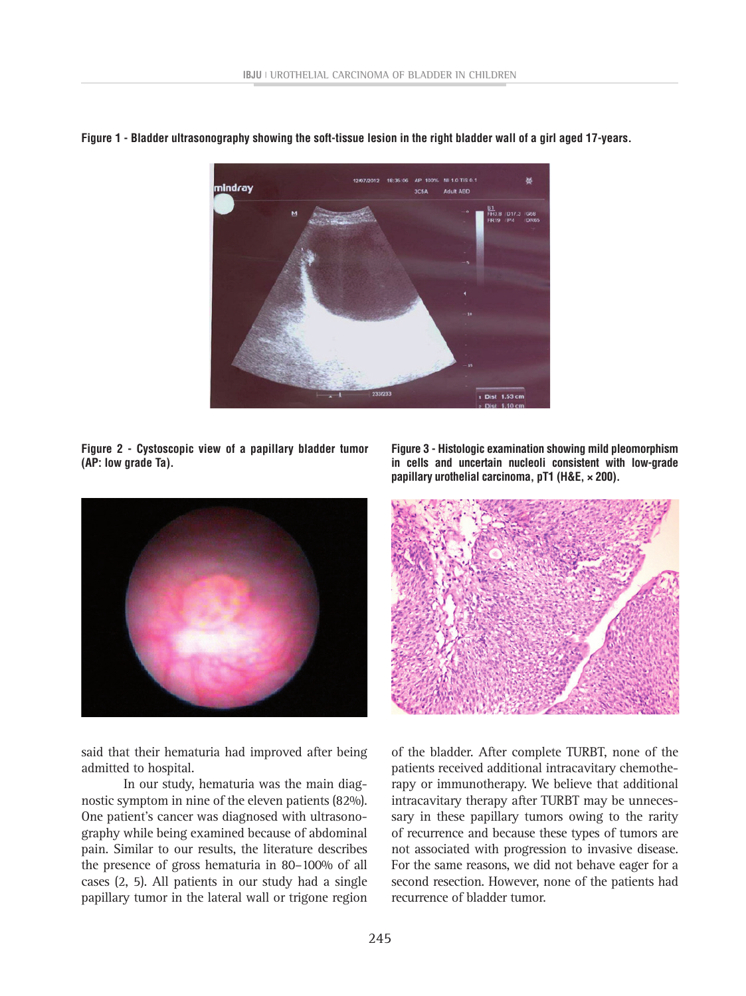

**Figure 1 - Bladder ultrasonography showing the soft-tissue lesion in the right bladder wall of a girl aged 17-years.**

**Figure 2 - Cystoscopic view of a papillary bladder tumor (AP: low grade Ta).**



said that their hematuria had improved after being admitted to hospital.

In our study, hematuria was the main diagnostic symptom in nine of the eleven patients (82%). One patient's cancer was diagnosed with ultrasonography while being examined because of abdominal pain. Similar to our results, the literature describes the presence of gross hematuria in 80–100% of all cases (2, 5). All patients in our study had a single papillary tumor in the lateral wall or trigone region

**Figure 3 - Histologic examination showing mild pleomorphism in cells and uncertain nucleoli consistent with low-grade papillary urothelial carcinoma, pT1 (H&E, × 200).**



of the bladder. After complete TURBT, none of the patients received additional intracavitary chemotherapy or immunotherapy. We believe that additional intracavitary therapy after TURBT may be unnecessary in these papillary tumors owing to the rarity of recurrence and because these types of tumors are not associated with progression to invasive disease. For the same reasons, we did not behave eager for a second resection. However, none of the patients had recurrence of bladder tumor.